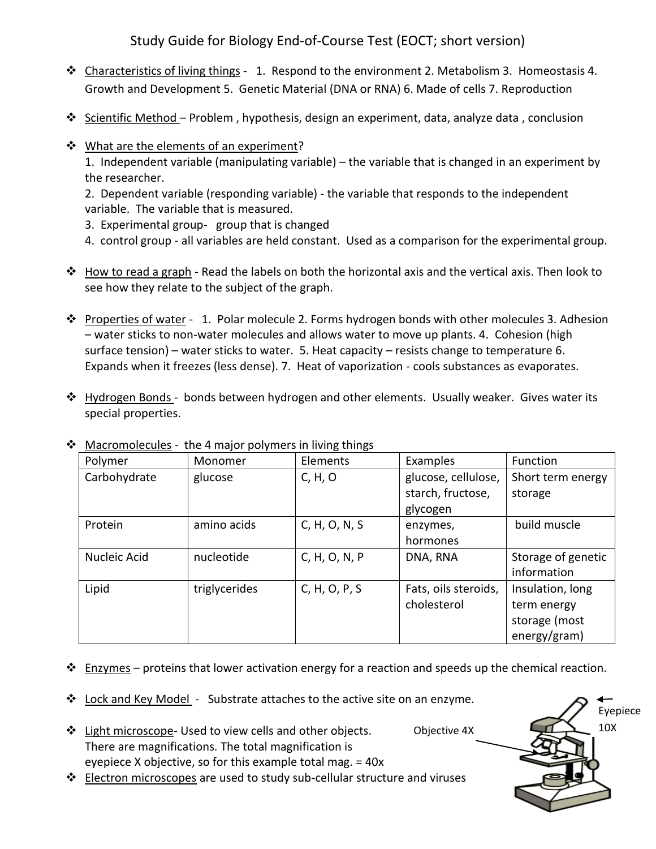Study Guide for Biology End-of-Course Test (EOCT; short version)

- \* Characteristics of living things 1. Respond to the environment 2. Metabolism 3. Homeostasis 4. Growth and Development 5. Genetic Material (DNA or RNA) 6. Made of cells 7. Reproduction
- Scientific Method Problem, hypothesis, design an experiment, data, analyze data, conclusion
- ❖ What are the elements of an experiment?

1. Independent variable (manipulating variable) – the variable that is changed in an experiment by the researcher.

2. Dependent variable (responding variable) - the variable that responds to the independent variable. The variable that is measured.

- 3. Experimental group- group that is changed
- 4. control group all variables are held constant. Used as a comparison for the experimental group.
- \* How to read a graph Read the labels on both the horizontal axis and the vertical axis. Then look to see how they relate to the subject of the graph.
- $\cdot \cdot$  Properties of water 1. Polar molecule 2. Forms hydrogen bonds with other molecules 3. Adhesion – water sticks to non-water molecules and allows water to move up plants. 4. Cohesion (high surface tension) – water sticks to water. 5. Heat capacity – resists change to temperature 6. Expands when it freezes (less dense). 7. Heat of vaporization - cools substances as evaporates.
- \* Hydrogen Bonds bonds between hydrogen and other elements. Usually weaker. Gives water its special properties.

| iviaci UlliUltults -<br>the 4 major polymers in living things |               |               |                                          |                              |  |
|---------------------------------------------------------------|---------------|---------------|------------------------------------------|------------------------------|--|
| Polymer                                                       | Monomer       | Elements      | Examples                                 | Function                     |  |
| Carbohydrate                                                  | glucose       | C, H, O       | glucose, cellulose,<br>starch, fructose, | Short term energy<br>storage |  |
|                                                               |               |               | glycogen                                 |                              |  |
| Protein                                                       | amino acids   | C, H, O, N, S | enzymes,                                 | build muscle                 |  |
|                                                               |               |               | hormones                                 |                              |  |
| Nucleic Acid                                                  | nucleotide    | C, H, O, N, P | DNA, RNA                                 | Storage of genetic           |  |
|                                                               |               |               |                                          | information                  |  |
| Lipid                                                         | triglycerides | C, H, O, P, S | Fats, oils steroids,                     | Insulation, long             |  |
|                                                               |               |               | cholesterol                              | term energy                  |  |
|                                                               |               |               |                                          | storage (most                |  |
|                                                               |               |               |                                          | energy/gram)                 |  |

 $\clubsuit$  Macromolecules - the 4 major polymers in living things

- $\cdot \cdot$  Enzymes proteins that lower activation energy for a reaction and speeds up the chemical reaction.
- $\div$  Lock and Key Model Substrate attaches to the active site on an enzyme.
- ❖ Light microscope- Used to view cells and other objects. There are magnifications. The total magnification is eyepiece X objective, so for this example total mag. = 40x

**Electron microscopes** are used to study sub-cellular structure and viruses

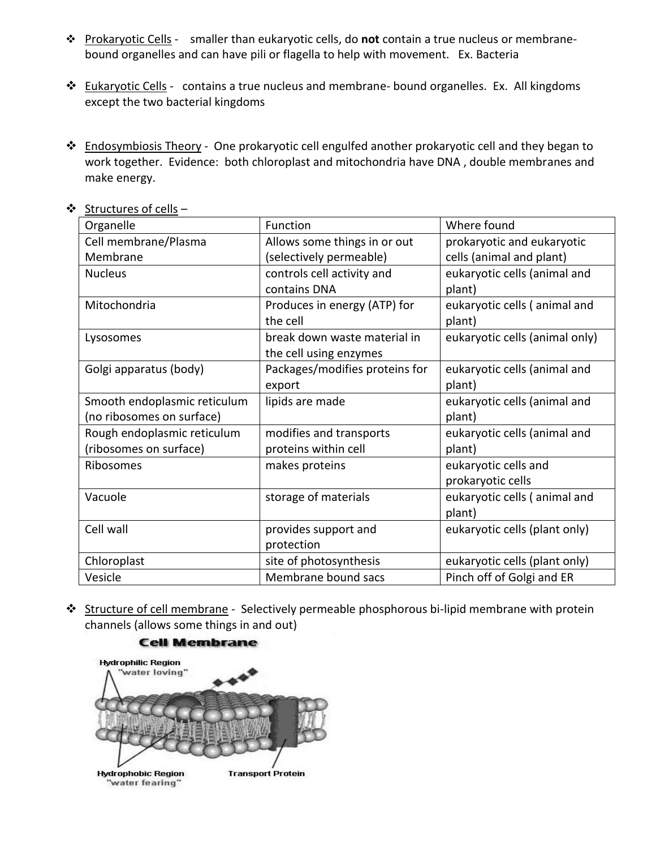- Prokaryotic Cells smaller than eukaryotic cells, do **not** contain a true nucleus or membranebound organelles and can have pili or flagella to help with movement. Ex. Bacteria
- ❖ Eukaryotic Cells contains a true nucleus and membrane- bound organelles. Ex. All kingdoms except the two bacterial kingdoms
- \* Endosymbiosis Theory One prokaryotic cell engulfed another prokaryotic cell and they began to work together. Evidence: both chloroplast and mitochondria have DNA , double membranes and make energy.

| Organelle                    | Function                               | Where found                    |  |
|------------------------------|----------------------------------------|--------------------------------|--|
| Cell membrane/Plasma         | Allows some things in or out           | prokaryotic and eukaryotic     |  |
| Membrane                     | (selectively permeable)                | cells (animal and plant)       |  |
| <b>Nucleus</b>               | controls cell activity and             | eukaryotic cells (animal and   |  |
|                              | contains DNA                           | plant)                         |  |
| Mitochondria                 | Produces in energy (ATP) for           | eukaryotic cells (animal and   |  |
|                              | the cell                               | plant)                         |  |
| Lysosomes                    | break down waste material in           | eukaryotic cells (animal only) |  |
|                              | the cell using enzymes                 |                                |  |
| Golgi apparatus (body)       | Packages/modifies proteins for         | eukaryotic cells (animal and   |  |
|                              | export                                 | plant)                         |  |
| Smooth endoplasmic reticulum | lipids are made                        | eukaryotic cells (animal and   |  |
| (no ribosomes on surface)    |                                        | plant)                         |  |
| Rough endoplasmic reticulum  | modifies and transports                | eukaryotic cells (animal and   |  |
| (ribosomes on surface)       | proteins within cell                   | plant)                         |  |
| Ribosomes                    | makes proteins<br>eukaryotic cells and |                                |  |
|                              |                                        | prokaryotic cells              |  |
| Vacuole                      | storage of materials                   | eukaryotic cells (animal and   |  |
|                              |                                        | plant)                         |  |
| Cell wall                    | provides support and                   | eukaryotic cells (plant only)  |  |
|                              | protection                             |                                |  |
| Chloroplast                  | site of photosynthesis                 | eukaryotic cells (plant only)  |  |
| Vesicle                      | Membrane bound sacs                    | Pinch off of Golgi and ER      |  |

❖ Structures of cells –

Structure of cell membrane - Selectively permeable phosphorous bi-lipid membrane with protein channels (allows some things in and out)

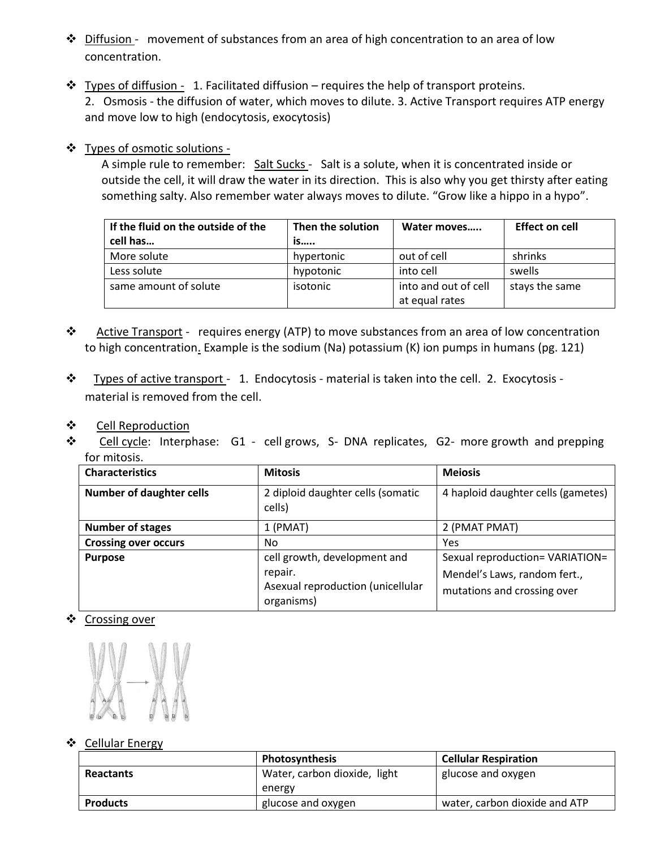- $\div$  Diffusion movement of substances from an area of high concentration to an area of low concentration.
- $\cdot \cdot$  Types of diffusion 1. Facilitated diffusion requires the help of transport proteins. 2. Osmosis - the diffusion of water, which moves to dilute. 3. Active Transport requires ATP energy and move low to high (endocytosis, exocytosis)

## Types of osmotic solutions -

 A simple rule to remember: Salt Sucks - Salt is a solute, when it is concentrated inside or outside the cell, it will draw the water in its direction. This is also why you get thirsty after eating something salty. Also remember water always moves to dilute. "Grow like a hippo in a hypo".

| If the fluid on the outside of the | Then the solution | Water moves          | <b>Effect on cell</b> |
|------------------------------------|-------------------|----------------------|-----------------------|
| cell has                           | is                |                      |                       |
| More solute                        | hypertonic        | out of cell          | shrinks               |
| Less solute                        | hypotonic         | into cell            | swells                |
| same amount of solute              | isotonic          | into and out of cell | stays the same        |
|                                    |                   | at equal rates       |                       |

- \* Active Transport requires energy (ATP) to move substances from an area of low concentration to high concentration. Example is the sodium (Na) potassium (K) ion pumps in humans (pg. 121)
- \* Types of active transport 1. Endocytosis material is taken into the cell. 2. Exocytosis material is removed from the cell.
- Cell Reproduction
- ❖ Cell cycle: Interphase: G1 cell grows, S- DNA replicates, G2- more growth and prepping for mitosis.

| <b>Characteristics</b>          | <b>Mitosis</b>                                                                    | <b>Meiosis</b>                  |  |
|---------------------------------|-----------------------------------------------------------------------------------|---------------------------------|--|
| <b>Number of daughter cells</b> | 4 haploid daughter cells (gametes)<br>2 diploid daughter cells (somatic<br>cells) |                                 |  |
| <b>Number of stages</b>         | 1 (PMAT)                                                                          | 2 (PMAT PMAT)                   |  |
| <b>Crossing over occurs</b>     | No.                                                                               | Yes                             |  |
| <b>Purpose</b>                  | cell growth, development and                                                      | Sexual reproduction= VARIATION= |  |
|                                 | repair.                                                                           | Mendel's Laws, random fert.,    |  |
|                                 | Asexual reproduction (unicellular<br>organisms)                                   | mutations and crossing over     |  |

## ❖ Crossing over



#### ❖ Cellular Energy

|                  | Photosynthesis               | <b>Cellular Respiration</b>   |  |
|------------------|------------------------------|-------------------------------|--|
| <b>Reactants</b> | Water, carbon dioxide, light | glucose and oxygen            |  |
|                  | energy                       |                               |  |
| <b>Products</b>  | glucose and oxygen           | water, carbon dioxide and ATP |  |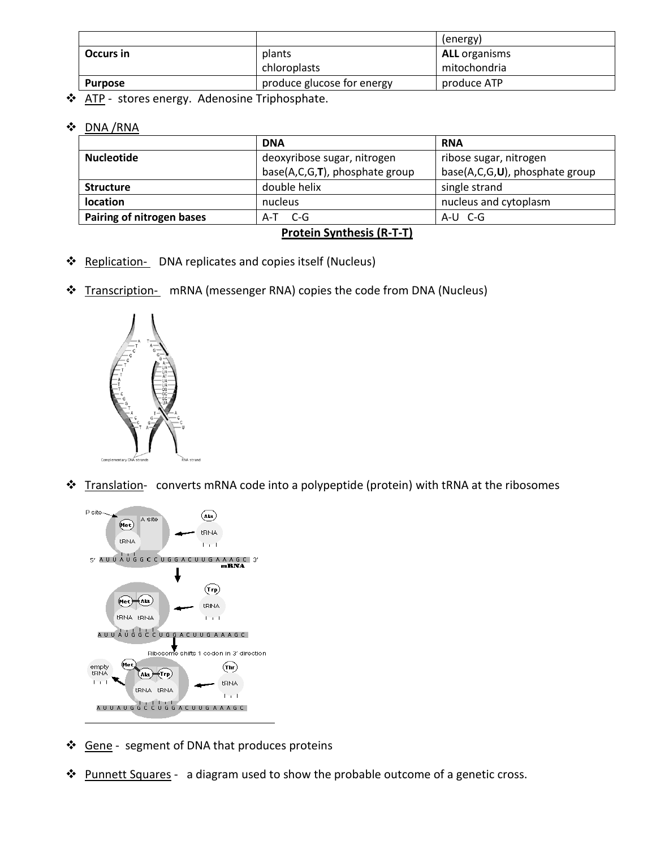|           |                            | (energy)             |
|-----------|----------------------------|----------------------|
| Occurs in | plants                     | <b>ALL</b> organisms |
|           | chloroplasts               | mitochondria         |
| Purpose   | produce glucose for energy | produce ATP          |

\* ATP - stores energy. Adenosine Triphosphate.

DNA /RNA

|                                                  | <b>DNA</b>                                                       | <b>RNA</b>             |  |
|--------------------------------------------------|------------------------------------------------------------------|------------------------|--|
| <b>Nucleotide</b><br>deoxyribose sugar, nitrogen |                                                                  | ribose sugar, nitrogen |  |
|                                                  | base(A,C,G,T), phosphate group<br>base(A,C,G,U), phosphate group |                        |  |
| <b>Structure</b>                                 | double helix                                                     | single strand          |  |
| <b>location</b>                                  | nucleus and cytoplasm<br>nucleus                                 |                        |  |
| Pairing of nitrogen bases                        | A-U C-G<br>A-T C-G                                               |                        |  |
| $\cdot$ $\cdot$ $\cdot$ $\cdot$ $\cdot$<br>.     |                                                                  |                        |  |

#### **Protein Synthesis (R-T-T)**

- ❖ Replication- DNA replicates and copies itself (Nucleus)
- Transcription- mRNA (messenger RNA) copies the code from DNA (Nucleus)



Translation- converts mRNA code into a polypeptide (protein) with tRNA at the ribosomes



- ❖ Gene segment of DNA that produces proteins
- \* Punnett Squares a diagram used to show the probable outcome of a genetic cross.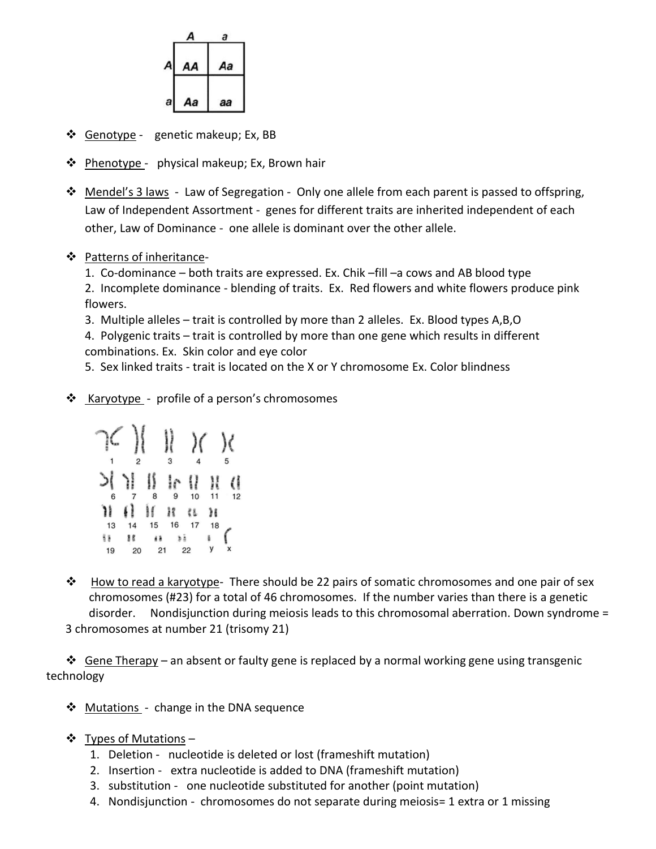

- ❖ Genotype genetic makeup; Ex, BB
- $\triangleleft$  Phenotype physical makeup; Ex, Brown hair
- **\*** Mendel's 3 laws Law of Segregation Only one allele from each parent is passed to offspring, Law of Independent Assortment - genes for different traits are inherited independent of each other, Law of Dominance - one allele is dominant over the other allele.

#### ❖ Patterns of inheritance-

1. Co-dominance – both traits are expressed. Ex. Chik –fill –a cows and AB blood type

2. Incomplete dominance - blending of traits. Ex. Red flowers and white flowers produce pink flowers.

3. Multiple alleles – trait is controlled by more than 2 alleles. Ex. Blood types A,B,O

4. Polygenic traits – trait is controlled by more than one gene which results in different combinations. Ex. Skin color and eye color

5. Sex linked traits - trait is located on the X or Y chromosome Ex. Color blindness

❖ Karyotype - profile of a person's chromosomes



 $\clubsuit$  How to read a karyotype- There should be 22 pairs of somatic chromosomes and one pair of sex chromosomes (#23) for a total of 46 chromosomes. If the number varies than there is a genetic disorder. Nondisjunction during meiosis leads to this chromosomal aberration. Down syndrome = 3 chromosomes at number 21 (trisomy 21)

 $\div$  Gene Therapy – an absent or faulty gene is replaced by a normal working gene using transgenic technology

- ❖ Mutations change in the DNA sequence
- $\cdot \cdot$  Types of Mutations
	- 1. Deletion nucleotide is deleted or lost (frameshift mutation)
	- 2. Insertion extra nucleotide is added to DNA (frameshift mutation)
	- 3. substitution one nucleotide substituted for another (point mutation)
	- 4. Nondisjunction chromosomes do not separate during meiosis= 1 extra or 1 missing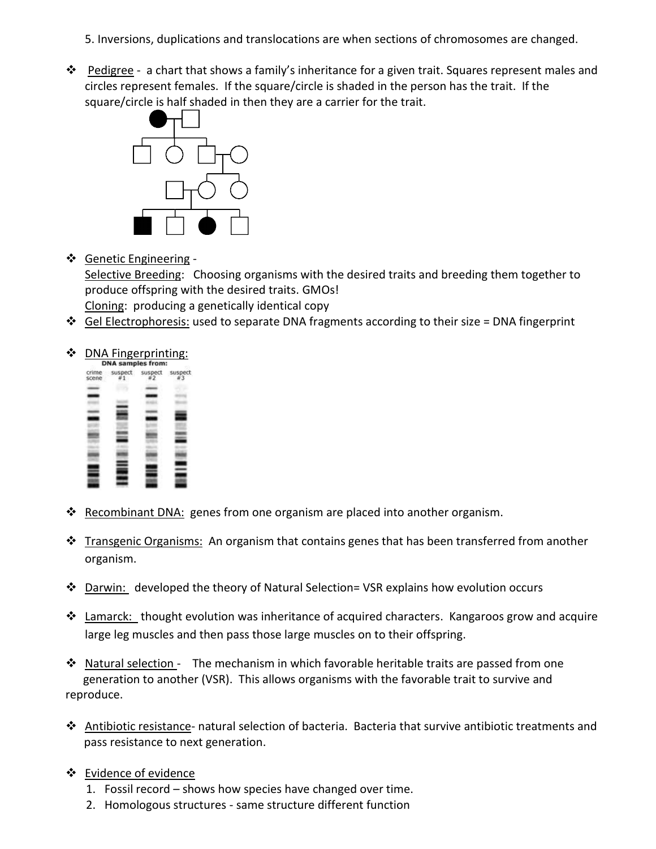- 5. Inversions, duplications and translocations are when sections of chromosomes are changed.
- ❖ Pedigree a chart that shows a family's inheritance for a given trait. Squares represent males and circles represent females. If the square/circle is shaded in the person has the trait. If the square/circle is half shaded in then they are a carrier for the trait.



Genetic Engineering -

Selective Breeding: Choosing organisms with the desired traits and breeding them together to produce offspring with the desired traits. GMOs!

Cloning: producing a genetically identical copy

Gel Electrophoresis: used to separate DNA fragments according to their size = DNA fingerprint

# **DNA Fingerprinting:**<br> **DNA** samples from:



- \* Recombinant DNA: genes from one organism are placed into another organism.
- **\*** Transgenic Organisms: An organism that contains genes that has been transferred from another organism.
- $\clubsuit$  Darwin: developed the theory of Natural Selection= VSR explains how evolution occurs
- $\cdot \cdot$  Lamarck: thought evolution was inheritance of acquired characters. Kangaroos grow and acquire large leg muscles and then pass those large muscles on to their offspring.

 $\cdot \cdot$  Natural selection - The mechanism in which favorable heritable traits are passed from one generation to another (VSR). This allows organisms with the favorable trait to survive and reproduce.

- Antibiotic resistance- natural selection of bacteria. Bacteria that survive antibiotic treatments and pass resistance to next generation.
- Evidence of evidence
	- 1. Fossil record shows how species have changed over time.
	- 2. Homologous structures same structure different function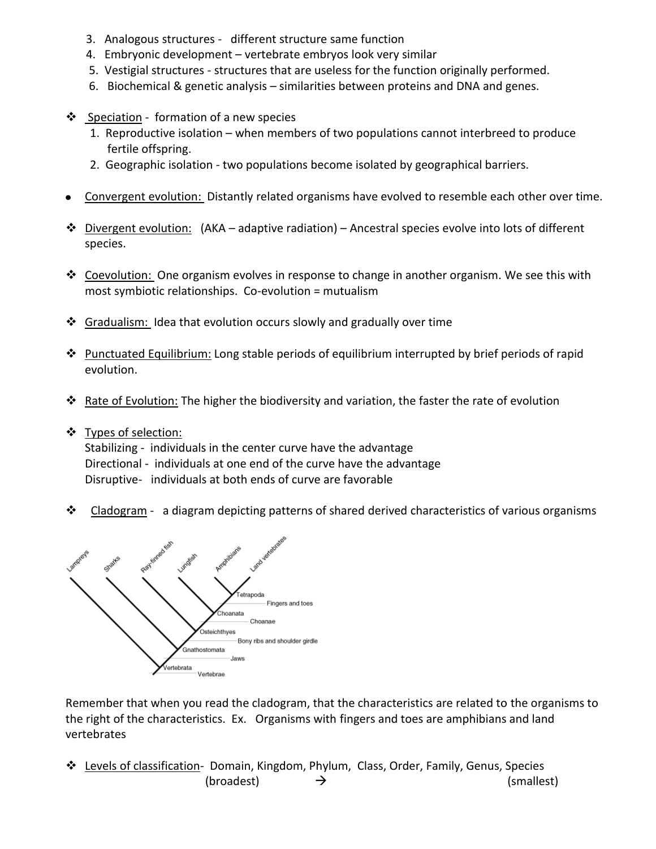- 3. Analogous structures different structure same function
- 4. Embryonic development vertebrate embryos look very similar
- 5. Vestigial structures structures that are useless for the function originally performed.
- 6. Biochemical & genetic analysis similarities between proteins and DNA and genes.
- Speciation formation of a new species
	- 1. Reproductive isolation when members of two populations cannot interbreed to produce fertile offspring.
	- 2. Geographic isolation two populations become isolated by geographical barriers.
- Convergent evolution: Distantly related organisms have evolved to resemble each other over time.  $\bullet$
- $\triangle$  Divergent evolution: (AKA adaptive radiation) Ancestral species evolve into lots of different species.
- $\clubsuit$  Coevolution: One organism evolves in response to change in another organism. We see this with most symbiotic relationships. Co-evolution = mutualism
- ❖ Gradualism: Idea that evolution occurs slowly and gradually over time
- Punctuated Equilibrium: Long stable periods of equilibrium interrupted by brief periods of rapid evolution.
- \* Rate of Evolution: The higher the biodiversity and variation, the faster the rate of evolution
- ❖ Types of selection:

Stabilizing - individuals in the center curve have the advantage Directional - individuals at one end of the curve have the advantage Disruptive- individuals at both ends of curve are favorable

 $\bullet$  Cladogram - a diagram depicting patterns of shared derived characteristics of various organisms



Remember that when you read the cladogram, that the characteristics are related to the organisms to the right of the characteristics. Ex. Organisms with fingers and toes are amphibians and land vertebrates

 **₺** Levels of classification- Domain, Kingdom, Phylum, Class, Order, Family, Genus, Species  $(\text{broadcast}) \rightarrow$  (smallest)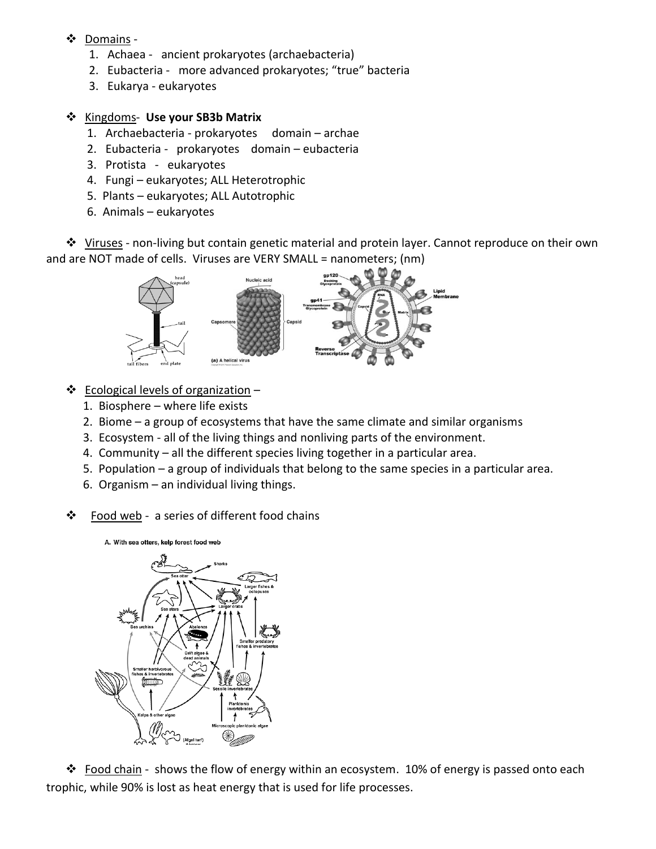## Domains -

- 1. Achaea ancient prokaryotes (archaebacteria)
- 2. Eubacteria more advanced prokaryotes; "true" bacteria
- 3. Eukarya eukaryotes

#### Kingdoms- **Use your SB3b Matrix**

- 1. Archaebacteria prokaryotes domain archae
- 2. Eubacteria prokaryotes domain eubacteria
- 3. Protista eukaryotes
- 4. Fungi eukaryotes; ALL Heterotrophic
- 5. Plants eukaryotes; ALL Autotrophic
- 6. Animals eukaryotes

\* Viruses - non-living but contain genetic material and protein layer. Cannot reproduce on their own and are NOT made of cells. Viruses are VERY SMALL = nanometers; (nm)



- $\triangleleft$  Ecological levels of organization
	- 1. Biosphere where life exists
	- 2. Biome a group of ecosystems that have the same climate and similar organisms
	- 3. Ecosystem all of the living things and nonliving parts of the environment.
	- 4. Community all the different species living together in a particular area.
	- 5. Population a group of individuals that belong to the same species in a particular area.
	- 6. Organism an individual living things.
- ❖ Food web a series of different food chains





\* Food chain - shows the flow of energy within an ecosystem. 10% of energy is passed onto each trophic, while 90% is lost as heat energy that is used for life processes.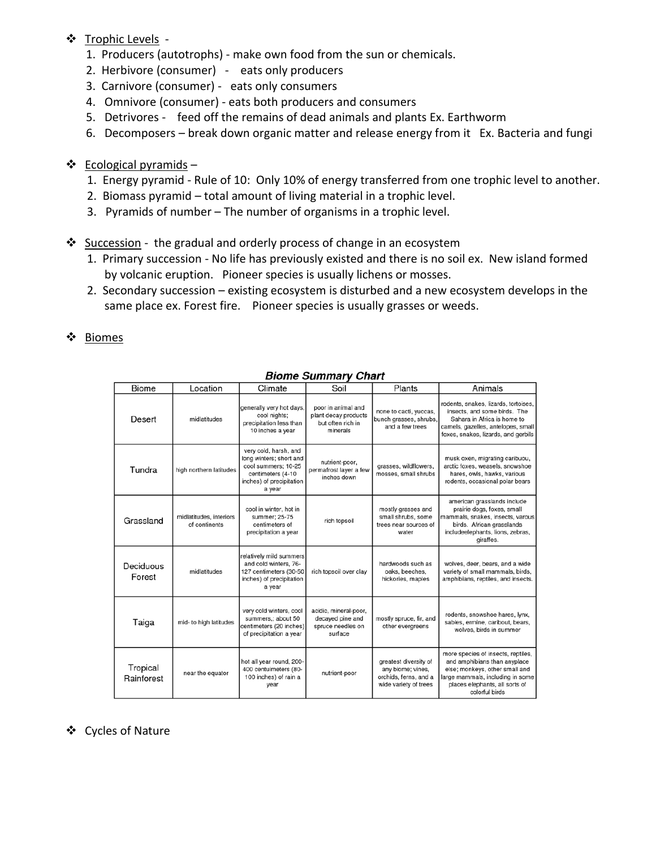## ❖ Trophic Levels -

- 1. Producers (autotrophs) make own food from the sun or chemicals.
- 2. Herbivore (consumer) eats only producers
- 3. Carnivore (consumer) eats only consumers
- 4. Omnivore (consumer) eats both producers and consumers
- 5. Detrivores feed off the remains of dead animals and plants Ex. Earthworm
- 6. Decomposers break down organic matter and release energy from it Ex. Bacteria and fungi
- $\triangleleft$  Ecological pyramids
	- 1. Energy pyramid Rule of 10: Only 10% of energy transferred from one trophic level to another.
	- 2. Biomass pyramid total amount of living material in a trophic level.
	- 3. Pyramids of number The number of organisms in a trophic level.

#### Succession - the gradual and orderly process of change in an ecosystem

- 1. Primary succession No life has previously existed and there is no soil ex. New island formed by volcanic eruption. Pioneer species is usually lichens or mosses.
- 2. Secondary succession existing ecosystem is disturbed and a new ecosystem develops in the same place ex. Forest fire. Pioneer species is usually grasses or weeds.
- ❖ Biomes

| <b>Biome</b>           | Location                                 | Climate                                                                                                                            | Soil                                                                        | Plants                                                                                       | Animals                                                                                                                                                                                      |
|------------------------|------------------------------------------|------------------------------------------------------------------------------------------------------------------------------------|-----------------------------------------------------------------------------|----------------------------------------------------------------------------------------------|----------------------------------------------------------------------------------------------------------------------------------------------------------------------------------------------|
| Desert                 | midlatitudes                             | generally very hot days,<br>cool nights;<br>precipitation less than<br>10 inches a year                                            | poor in animal and<br>plant decay products<br>but often rich in<br>minerals | none to cacti, yuccas,<br>bunch grasses, shrubs,<br>and a few trees                          | rodents, snakes, lizards, tortoises,<br>insects, and some birds. The<br>Sahara in Africa is home to<br>camels, gazelles, antelopes, small<br>foxes, snakes, lizards, and gerbils             |
| Tundra                 | high northern latitudes                  | very cold, harsh, and<br>long winters; short and<br>cool summers; 10-25<br>centimeters (4-10<br>inches) of precipitation<br>a year | nutrient-poor,<br>permafrost layer a few<br>inches down                     | grasses, wildflowers,<br>mosses, small shrubs                                                | musk oxen, migrating caribuou,<br>arctic foxes, weasels, snowshoe<br>hares, owls, hawks, various<br>rodents, occasional polar bears                                                          |
| Grassland              | midlatitudes, interiors<br>of continents | cool in winter, hot in<br>summer; 25-75<br>centimeters of<br>precipitation a year                                                  | rich topsoil                                                                | mostly grasses and<br>small shrubs, some<br>trees near sources of<br>water                   | american grasslands include<br>prairie dogs, foxes, small<br>mammals, snakes, insects, varous<br>birds. African grasslands<br>includeelephants, lions, zebras,<br>giraffes.                  |
| Deciduous<br>Forest    | midlatitudes                             | relatively mild summers<br>and cold winters, 76-<br>127 centimeters (30-50<br>inches) of precipitation<br>a year                   | rich topsoil over clay                                                      | hardwoods such as<br>oaks, beeches,<br>hickories, maples                                     | wolves, deer, bears, and a wide<br>variety of small mammals, birds,<br>amphibians, reptiles, and insects.                                                                                    |
| Taiga                  | mid- to high latitudes                   | very cold winters, cool<br>summers,; about 50<br>centimeters (20 inches)<br>of precipitation a year                                | acidic, mineral-poor,<br>decayed pine and<br>spruce needles on<br>surface   | mostly spruce, fir, and<br>other evergreens                                                  | rodents, snowshoe hares, lynx,<br>sables, ermine, caribout, bears,<br>wolves, birds in summer                                                                                                |
| Tropical<br>Rainforest | near the equator                         | hot all year round, 200-<br>400 centuimeters (80-<br>100 inches) of rain a<br>year                                                 | nutrient-poor                                                               | greatest diversity of<br>any biome; vines,<br>orchids, ferns, and a<br>wide variety of trees | more species of insects, reptiles,<br>and amphibians than anyplace<br>else; monkeys, other small and<br>large mammals, including in some<br>places elephants, all sorts of<br>colorful birds |

#### **Biome Summary Chart**

## Cycles of Nature